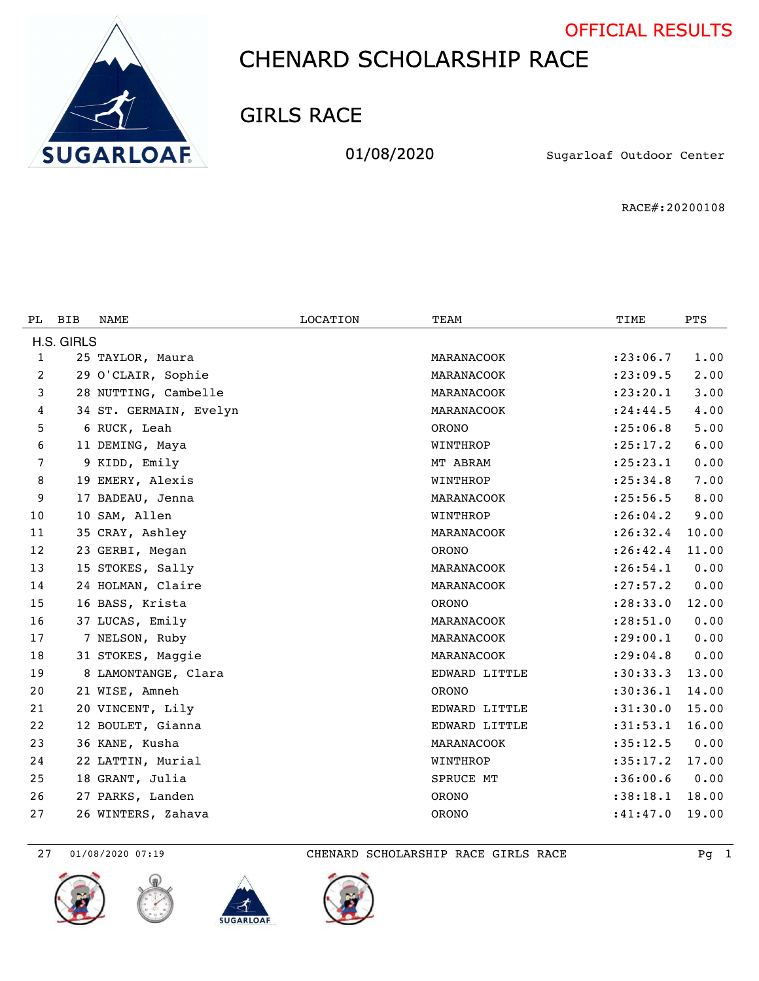



GIRLS RACE

01/08/2020 Sugarloaf Outdoor Center

RACE#:20200108

| PL.          | <b>BIB</b> | <b>NAME</b>            | <b>LOCATION</b> | TEAM          | TIME       | <b>PTS</b> |  |  |
|--------------|------------|------------------------|-----------------|---------------|------------|------------|--|--|
| H.S. GIRLS   |            |                        |                 |               |            |            |  |  |
| $\mathbf{1}$ |            | 25 TAYLOR, Maura       |                 | MARANACOOK    | : 23:06.7  | 1.00       |  |  |
| 2            |            | 29 O'CLAIR, Sophie     |                 | MARANACOOK    | : 23:09.5  | 2.00       |  |  |
| 3            |            | 28 NUTTING, Cambelle   |                 | MARANACOOK    | : 23: 20.1 | 3.00       |  |  |
| 4            |            | 34 ST. GERMAIN, Evelyn |                 | MARANACOOK    | : 24: 44.5 | 4.00       |  |  |
| 5            |            | 6 RUCK, Leah           |                 | <b>ORONO</b>  | : 25:06.8  | 5.00       |  |  |
| 6            |            | 11 DEMING, Maya        |                 | WINTHROP      | : 25: 17.2 | 6.00       |  |  |
| 7            |            | 9 KIDD, Emily          |                 | MT ABRAM      | : 25: 23.1 | 0.00       |  |  |
| 8            |            | 19 EMERY, Alexis       |                 | WINTHROP      | : 25:34.8  | 7.00       |  |  |
| 9            |            | 17 BADEAU, Jenna       |                 | MARANACOOK    | : 25:56.5  | 8.00       |  |  |
| 10           |            | 10 SAM, Allen          |                 | WINTHROP      | : 26:04.2  | 9.00       |  |  |
| 11           |            | 35 CRAY, Ashley        |                 | MARANACOOK    | : 26:32.4  | 10.00      |  |  |
| 12           |            | 23 GERBI, Megan        |                 | <b>ORONO</b>  | : 26: 42.4 | 11.00      |  |  |
| 13           |            | 15 STOKES, Sally       |                 | MARANACOOK    | : 26:54.1  | 0.00       |  |  |
| 14           |            | 24 HOLMAN, Claire      |                 | MARANACOOK    | : 27: 57.2 | 0.00       |  |  |
| 15           |            | 16 BASS, Krista        |                 | <b>ORONO</b>  | : 28: 33.0 | 12.00      |  |  |
| 16           |            | 37 LUCAS, Emily        |                 | MARANACOOK    | : 28: 51.0 | 0.00       |  |  |
| 17           |            | 7 NELSON, Ruby         |                 | MARANACOOK    | : 29:00.1  | 0.00       |  |  |
| 18           |            | 31 STOKES, Maggie      |                 | MARANACOOK    | : 29:04.8  | 0.00       |  |  |
| 19           |            | 8 LAMONTANGE, Clara    |                 | EDWARD LITTLE | :30:33.3   | 13.00      |  |  |
| 20           |            | 21 WISE, Amneh         |                 | <b>ORONO</b>  | : 30: 36.1 | 14.00      |  |  |
| 21           |            | 20 VINCENT, Lily       |                 | EDWARD LITTLE | : 31: 30.0 | 15.00      |  |  |
| 22           |            | 12 BOULET, Gianna      |                 | EDWARD LITTLE | : 31: 53.1 | 16.00      |  |  |
| 23           |            | 36 KANE, Kusha         |                 | MARANACOOK    | :35:12.5   | 0.00       |  |  |
| 24           |            | 22 LATTIN, Murial      |                 | WINTHROP      | :35:17.2   | 17.00      |  |  |
| 25           |            | 18 GRANT, Julia        |                 | SPRUCE MT     | :36:00.6   | 0.00       |  |  |
| 26           |            | 27 PARKS, Landen       |                 | <b>ORONO</b>  | : 38:18.1  | 18.00      |  |  |
| 27           |            | 26 WINTERS, Zahava     |                 | <b>ORONO</b>  | :41:47.0   | 19.00      |  |  |





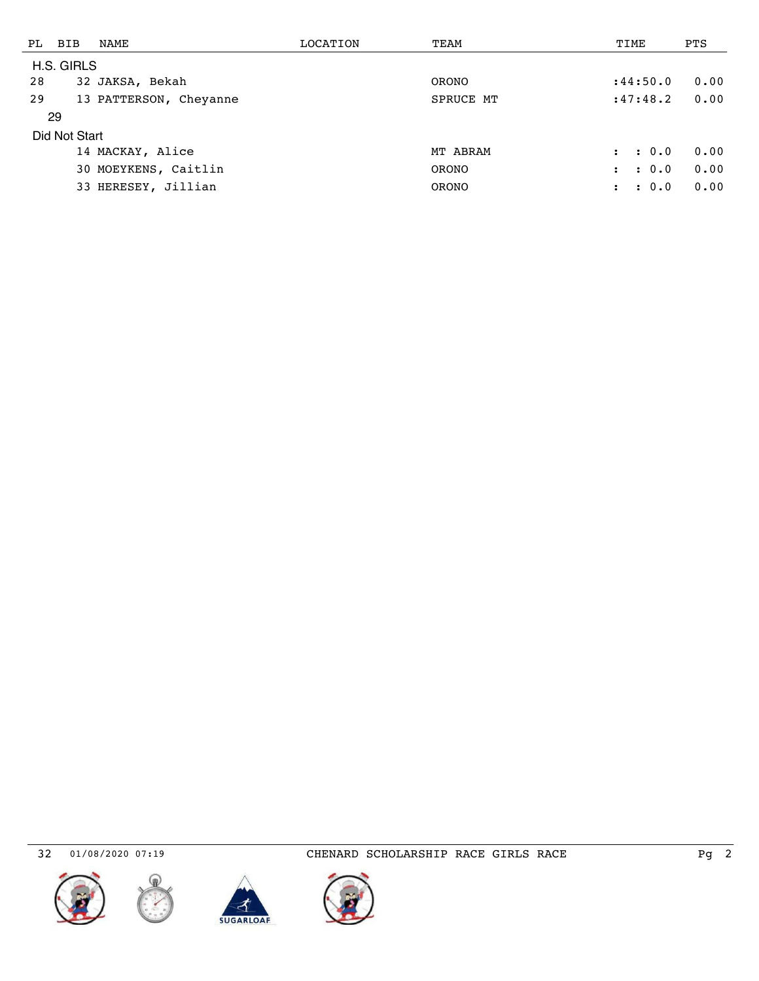| PL         | BIB           | NAME                   | LOCATION | TEAM         | TIME                        | <b>PTS</b> |  |  |
|------------|---------------|------------------------|----------|--------------|-----------------------------|------------|--|--|
| H.S. GIRLS |               |                        |          |              |                             |            |  |  |
| 28         |               | 32 JAKSA, Bekah        |          | <b>ORONO</b> | : 44:50.0                   | 0.00       |  |  |
| 29         |               | 13 PATTERSON, Cheyanne |          | SPRUCE MT    | :47:48.2                    | 0.00       |  |  |
|            | 29            |                        |          |              |                             |            |  |  |
|            | Did Not Start |                        |          |              |                             |            |  |  |
|            |               | 14 MACKAY, Alice       |          | MT ABRAM     | : 0.0<br>$\mathbf{r}$       | 0.00       |  |  |
|            |               | 30 MOEYKENS, Caitlin   |          | <b>ORONO</b> | $\cdot$ 0.0<br>$\mathbf{r}$ | 0.00       |  |  |
|            |               | 33 HERESEY, Jillian    |          | <b>ORONO</b> | $\cdot$ 0.0<br>$\mathbf{r}$ | 0.00       |  |  |
|            |               |                        |          |              |                             |            |  |  |







01/08/2020 07:19 CHENARD SCHOLARSHIP RACE GIRLS RACE Pg 2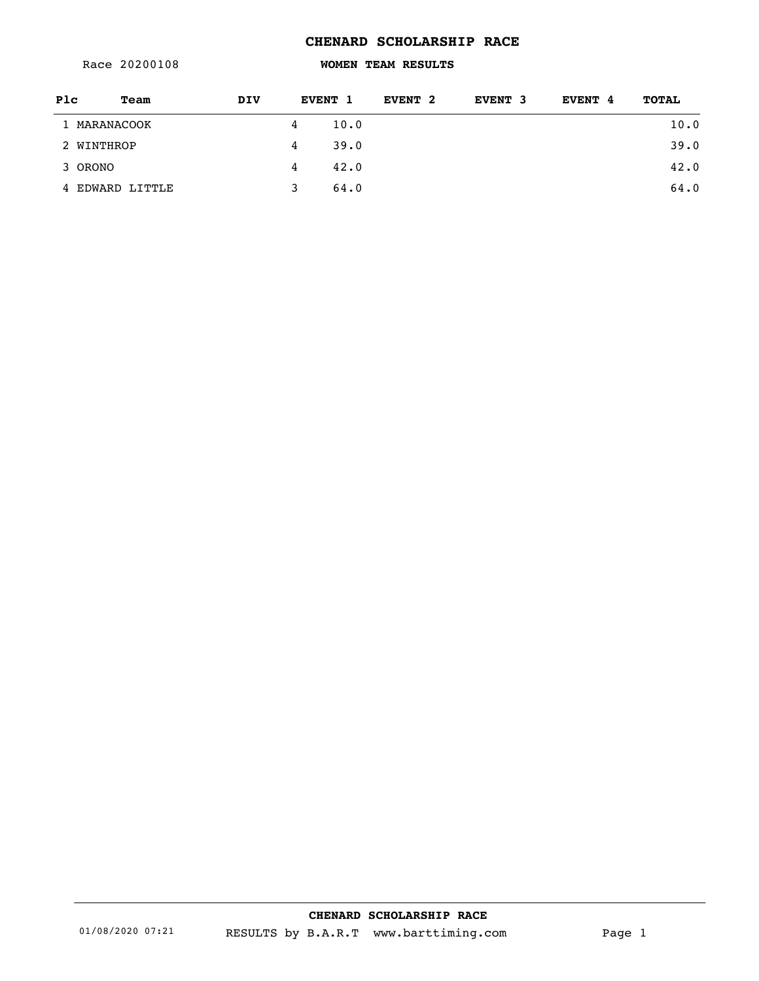Race 20200108

### **WOMEN TEAM RESULTS**

| Plc     | Team            | <b>DIV</b> |   | EVENT 1 | EVENT 2 | EVENT 3 | EVENT 4 | <b>TOTAL</b> |
|---------|-----------------|------------|---|---------|---------|---------|---------|--------------|
|         | 1 MARANACOOK    |            | 4 | 10.0    |         |         |         | 10.0         |
|         | 2 WINTHROP      |            | 4 | 39.0    |         |         |         | 39.0         |
| 3 ORONO |                 |            | 4 | 42.0    |         |         |         | 42.0         |
|         | 4 EDWARD LITTLE |            |   | 64.0    |         |         |         | 64.0         |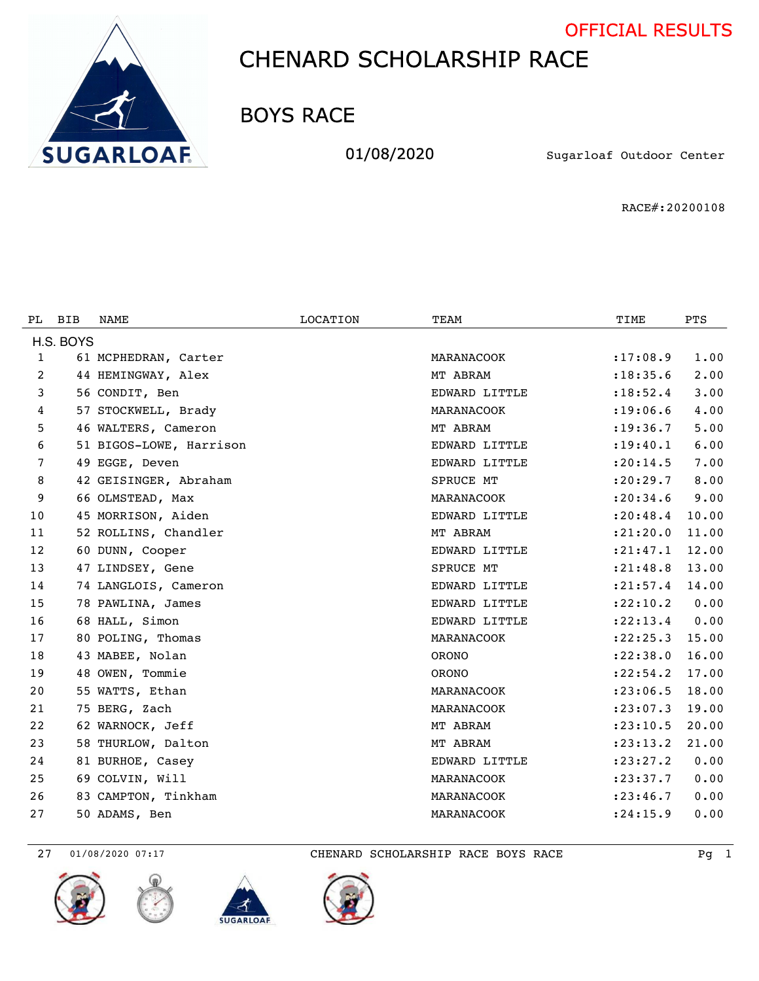



BOYS RACE

01/08/2020 Sugarloaf Outdoor Center

RACE#:20200108

| PL.          | <b>BIB</b> | NAME                    | <b>LOCATION</b> | TEAM          | TIME       | <b>PTS</b> |  |  |
|--------------|------------|-------------------------|-----------------|---------------|------------|------------|--|--|
| H.S. BOYS    |            |                         |                 |               |            |            |  |  |
| $\mathbf{1}$ |            | 61 MCPHEDRAN, Carter    |                 | MARANACOOK    | : 17:08.9  | 1.00       |  |  |
| 2            |            | 44 HEMINGWAY, Alex      |                 | MT ABRAM      | : 18: 35.6 | 2.00       |  |  |
| 3            |            | 56 CONDIT, Ben          |                 | EDWARD LITTLE | : 18: 52.4 | 3.00       |  |  |
| 4            |            | 57 STOCKWELL, Brady     |                 | MARANACOOK    | : 19:06.6  | 4.00       |  |  |
| 5            |            | 46 WALTERS, Cameron     |                 | MT ABRAM      | : 19: 36.7 | 5.00       |  |  |
| 6            |            | 51 BIGOS-LOWE, Harrison |                 | EDWARD LITTLE | : 19: 40.1 | 6.00       |  |  |
| 7            |            | 49 EGGE, Deven          |                 | EDWARD LITTLE | : 20:14.5  | 7.00       |  |  |
| 8            |            | 42 GEISINGER, Abraham   |                 | SPRUCE MT     | : 20: 29.7 | 8.00       |  |  |
| 9            |            | 66 OLMSTEAD, Max        |                 | MARANACOOK    | : 20: 34.6 | 9.00       |  |  |
| 10           |            | 45 MORRISON, Aiden      |                 | EDWARD LITTLE | : 20: 48.4 | 10.00      |  |  |
| 11           |            | 52 ROLLINS, Chandler    |                 | MT ABRAM      | : 21: 20.0 | 11.00      |  |  |
| 12           |            | 60 DUNN, Cooper         |                 | EDWARD LITTLE | : 21: 47.1 | 12.00      |  |  |
| 13           |            | 47 LINDSEY, Gene        |                 | SPRUCE MT     | : 21: 48.8 | 13.00      |  |  |
| 14           |            | 74 LANGLOIS, Cameron    |                 | EDWARD LITTLE | : 21: 57.4 | 14.00      |  |  |
| 15           |            | 78 PAWLINA, James       |                 | EDWARD LITTLE | : 22: 10.2 | 0.00       |  |  |
| 16           |            | 68 HALL, Simon          |                 | EDWARD LITTLE | : 22: 13.4 | 0.00       |  |  |
| 17           |            | 80 POLING, Thomas       |                 | MARANACOOK    | : 22: 25.3 | 15.00      |  |  |
| 18           |            | 43 MABEE, Nolan         |                 | <b>ORONO</b>  | : 22: 38.0 | 16.00      |  |  |
| 19           |            | 48 OWEN, Tommie         |                 | <b>ORONO</b>  | : 22: 54.2 | 17.00      |  |  |
| 20           |            | 55 WATTS, Ethan         |                 | MARANACOOK    | : 23:06.5  | 18.00      |  |  |
| 21           |            | 75 BERG, Zach           |                 | MARANACOOK    | : 23:07.3  | 19.00      |  |  |
| 22           |            | 62 WARNOCK, Jeff        |                 | MT ABRAM      | : 23: 10.5 | 20.00      |  |  |
| 23           |            | 58 THURLOW, Dalton      |                 | MT ABRAM      | : 23: 13.2 | 21.00      |  |  |
| 24           |            | 81 BURHOE, Casey        |                 | EDWARD LITTLE | : 23: 27.2 | 0.00       |  |  |
| 25           |            | 69 COLVIN, Will         |                 | MARANACOOK    | : 23: 37.7 | 0.00       |  |  |
| 26           |            | 83 CAMPTON, Tinkham     |                 | MARANACOOK    | : 23: 46.7 | 0.00       |  |  |
| 27           |            | 50 ADAMS, Ben           |                 | MARANACOOK    | : 24:15.9  | 0.00       |  |  |

27 01/08/2020 07:17 CHENARD SCHOLARSHIP RACE BOYS RACE PG 1







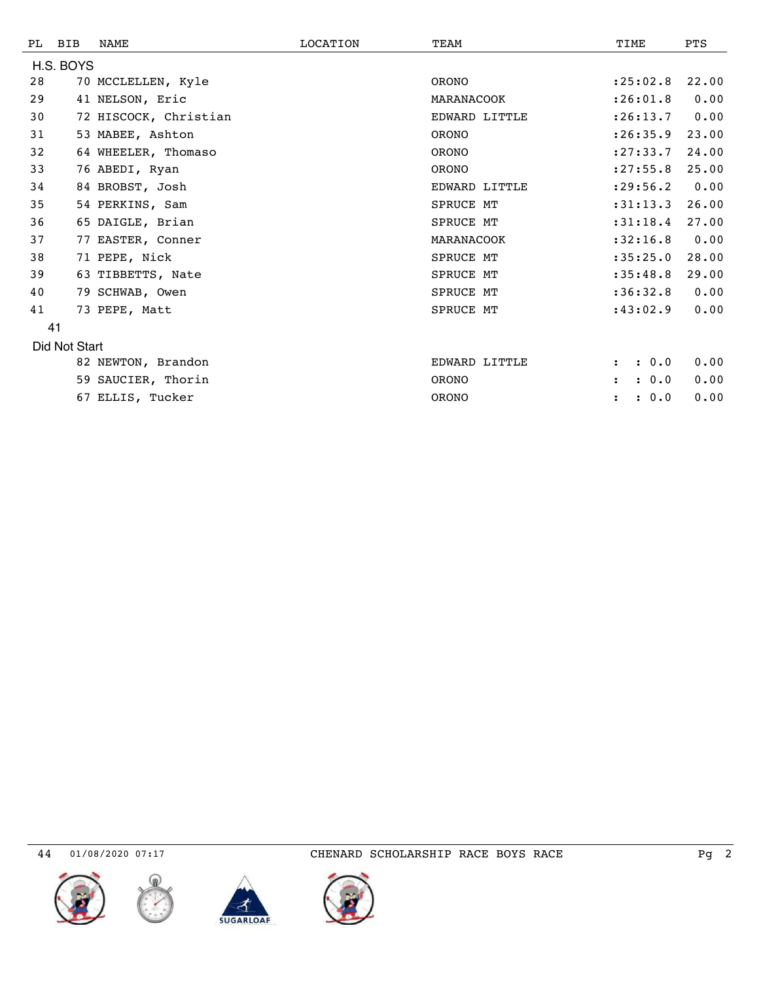| PL.       | BIB           | <b>NAME</b>           | LOCATION | TEAM             | TIME                          | <b>PTS</b> |  |
|-----------|---------------|-----------------------|----------|------------------|-------------------------------|------------|--|
| H.S. BOYS |               |                       |          |                  |                               |            |  |
| 28        |               | 70 MCCLELLEN, Kyle    |          | <b>ORONO</b>     | : 25:02.8                     | 22.00      |  |
| 29        |               | 41 NELSON, Eric       |          | MARANACOOK       | : 26:01.8                     | 0.00       |  |
| 30        |               | 72 HISCOCK, Christian |          | EDWARD LITTLE    | : 26: 13.7                    | 0.00       |  |
| 31        |               | 53 MABEE, Ashton      |          | <b>ORONO</b>     | : 26:35.9                     | 23.00      |  |
| 32        |               | 64 WHEELER, Thomaso   |          | <b>ORONO</b>     | : 27: 33.7                    | 24.00      |  |
| 33        |               | 76 ABEDI, Ryan        |          | <b>ORONO</b>     | : 27: 55.8                    | 25.00      |  |
| 34        |               | 84 BROBST, Josh       |          | EDWARD LITTLE    | : 29:56.2                     | 0.00       |  |
| 35        |               | 54 PERKINS, Sam       |          | <b>SPRUCE MT</b> | :31:13.3                      | 26.00      |  |
| 36        |               | 65 DAIGLE, Brian      |          | SPRUCE MT        | :31:18.4                      | 27.00      |  |
| 37        |               | 77 EASTER, Conner     |          | MARANACOOK       | :32:16.8                      | 0.00       |  |
| 38        |               | 71 PEPE, Nick         |          | SPRUCE MT        | :35:25.0                      | 28.00      |  |
| 39        |               | 63 TIBBETTS, Nate     |          | <b>SPRUCE MT</b> | :35:48.8                      | 29.00      |  |
| 40        |               | 79 SCHWAB, Owen       |          | SPRUCE MT        | :36:32.8                      | 0.00       |  |
| 41        |               | 73 PEPE, Matt         |          | SPRUCE MT        | :43:02.9                      | 0.00       |  |
|           | 41            |                       |          |                  |                               |            |  |
|           | Did Not Start |                       |          |                  |                               |            |  |
|           |               | 82 NEWTON, Brandon    |          | EDWARD LITTLE    | : 0.0<br>$\ddot{\phantom{a}}$ | 0.00       |  |
|           |               | 59 SAUCIER, Thorin    |          | <b>ORONO</b>     | : 0.0<br>$\ddot{\phantom{a}}$ | 0.00       |  |
|           |               | 67 ELLIS, Tucker      |          | <b>ORONO</b>     | : 0.0<br>$\ddot{\phantom{a}}$ | 0.00       |  |